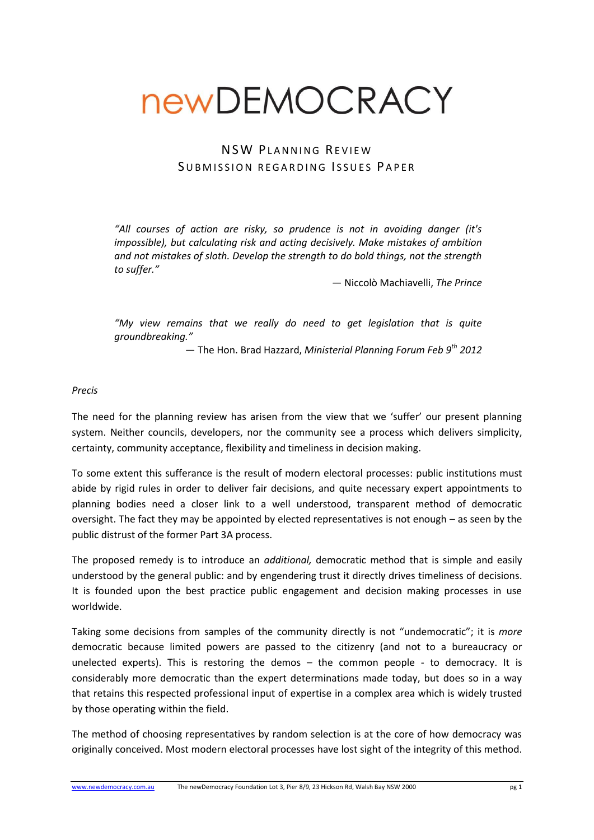# newDEMOCRACY

# NSW PLANNING REVIEW SUBMISSION REGARDING ISSUES PAPER

*"All courses of action are risky, so prudence is not in avoiding danger (it's impossible), but calculating risk and acting decisively. Make mistakes of ambition and not mistakes of sloth. Develop the strength to do bold things, not the strength to suffer."*

― Niccolò Machiavelli, *The Prince*

*"My view remains that we really do need to get legislation that is quite groundbreaking."*

― The Hon. Brad Hazzard, *Ministerial Planning Forum Feb 9th 2012*

#### *Precis*

The need for the planning review has arisen from the view that we 'suffer' our present planning system. Neither councils, developers, nor the community see a process which delivers simplicity, certainty, community acceptance, flexibility and timeliness in decision making.

To some extent this sufferance is the result of modern electoral processes: public institutions must abide by rigid rules in order to deliver fair decisions, and quite necessary expert appointments to planning bodies need a closer link to a well understood, transparent method of democratic oversight. The fact they may be appointed by elected representatives is not enough – as seen by the public distrust of the former Part 3A process.

The proposed remedy is to introduce an *additional,* democratic method that is simple and easily understood by the general public: and by engendering trust it directly drives timeliness of decisions. It is founded upon the best practice public engagement and decision making processes in use worldwide.

Taking some decisions from samples of the community directly is not "undemocratic"; it is *more* democratic because limited powers are passed to the citizenry (and not to a bureaucracy or unelected experts). This is restoring the demos  $-$  the common people  $-$  to democracy. It is considerably more democratic than the expert determinations made today, but does so in a way that retains this respected professional input of expertise in a complex area which is widely trusted by those operating within the field.

The method of choosing representatives by random selection is at the core of how democracy was originally conceived. Most modern electoral processes have lost sight of the integrity of this method.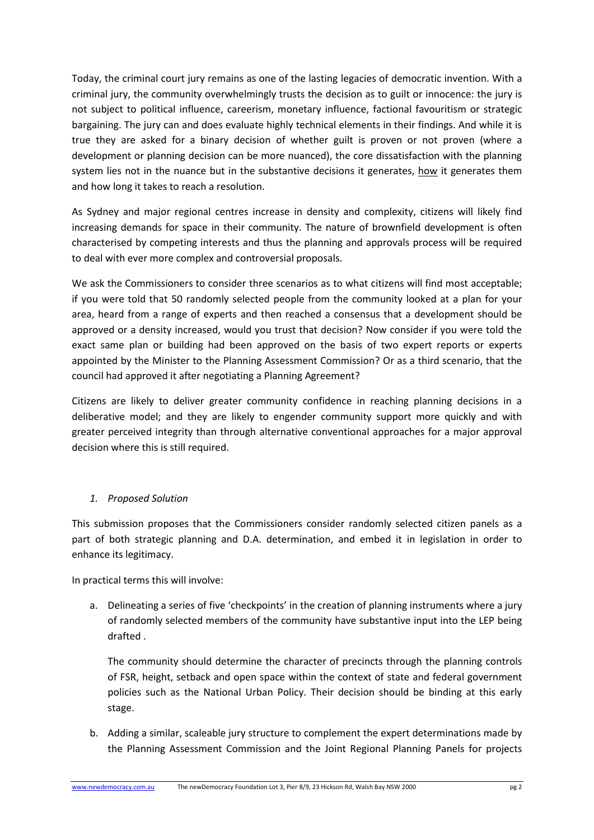Today, the criminal court jury remains as one of the lasting legacies of democratic invention. With a criminal jury, the community overwhelmingly trusts the decision as to guilt or innocence: the jury is not subject to political influence, careerism, monetary influence, factional favouritism or strategic bargaining. The jury can and does evaluate highly technical elements in their findings. And while it is true they are asked for a binary decision of whether guilt is proven or not proven (where a development or planning decision can be more nuanced), the core dissatisfaction with the planning system lies not in the nuance but in the substantive decisions it generates, how it generates them and how long it takes to reach a resolution.

As Sydney and major regional centres increase in density and complexity, citizens will likely find increasing demands for space in their community. The nature of brownfield development is often characterised by competing interests and thus the planning and approvals process will be required to deal with ever more complex and controversial proposals.

We ask the Commissioners to consider three scenarios as to what citizens will find most acceptable; if you were told that 50 randomly selected people from the community looked at a plan for your area, heard from a range of experts and then reached a consensus that a development should be approved or a density increased, would you trust that decision? Now consider if you were told the exact same plan or building had been approved on the basis of two expert reports or experts appointed by the Minister to the Planning Assessment Commission? Or as a third scenario, that the council had approved it after negotiating a Planning Agreement?

Citizens are likely to deliver greater community confidence in reaching planning decisions in a deliberative model; and they are likely to engender community support more quickly and with greater perceived integrity than through alternative conventional approaches for a major approval decision where this is still required.

#### *1. Proposed Solution*

This submission proposes that the Commissioners consider randomly selected citizen panels as a part of both strategic planning and D.A. determination, and embed it in legislation in order to enhance its legitimacy.

In practical terms this will involve:

a. Delineating a series of five 'checkpoints' in the creation of planning instruments where a jury of randomly selected members of the community have substantive input into the LEP being drafted .

The community should determine the character of precincts through the planning controls of FSR, height, setback and open space within the context of state and federal government policies such as the National Urban Policy. Their decision should be binding at this early stage.

b. Adding a similar, scaleable jury structure to complement the expert determinations made by the Planning Assessment Commission and the Joint Regional Planning Panels for projects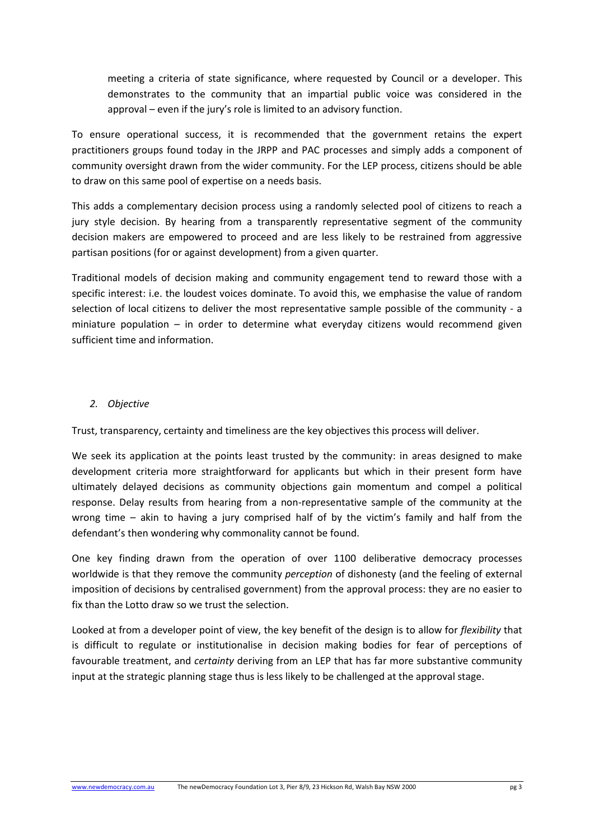meeting a criteria of state significance, where requested by Council or a developer. This demonstrates to the community that an impartial public voice was considered in the approval – even if the jury's role is limited to an advisory function.

To ensure operational success, it is recommended that the government retains the expert practitioners groups found today in the JRPP and PAC processes and simply adds a component of community oversight drawn from the wider community. For the LEP process, citizens should be able to draw on this same pool of expertise on a needs basis.

This adds a complementary decision process using a randomly selected pool of citizens to reach a jury style decision. By hearing from a transparently representative segment of the community decision makers are empowered to proceed and are less likely to be restrained from aggressive partisan positions (for or against development) from a given quarter.

Traditional models of decision making and community engagement tend to reward those with a specific interest: i.e. the loudest voices dominate. To avoid this, we emphasise the value of random selection of local citizens to deliver the most representative sample possible of the community - a miniature population – in order to determine what everyday citizens would recommend given sufficient time and information.

#### *2. Objective*

Trust, transparency, certainty and timeliness are the key objectives this process will deliver.

We seek its application at the points least trusted by the community: in areas designed to make development criteria more straightforward for applicants but which in their present form have ultimately delayed decisions as community objections gain momentum and compel a political response. Delay results from hearing from a non-representative sample of the community at the wrong time – akin to having a jury comprised half of by the victim's family and half from the defendant's then wondering why commonality cannot be found.

One key finding drawn from the operation of over 1100 deliberative democracy processes worldwide is that they remove the community *perception* of dishonesty (and the feeling of external imposition of decisions by centralised government) from the approval process: they are no easier to fix than the Lotto draw so we trust the selection.

Looked at from a developer point of view, the key benefit of the design is to allow for *flexibility* that is difficult to regulate or institutionalise in decision making bodies for fear of perceptions of favourable treatment, and *certainty* deriving from an LEP that has far more substantive community input at the strategic planning stage thus is less likely to be challenged at the approval stage.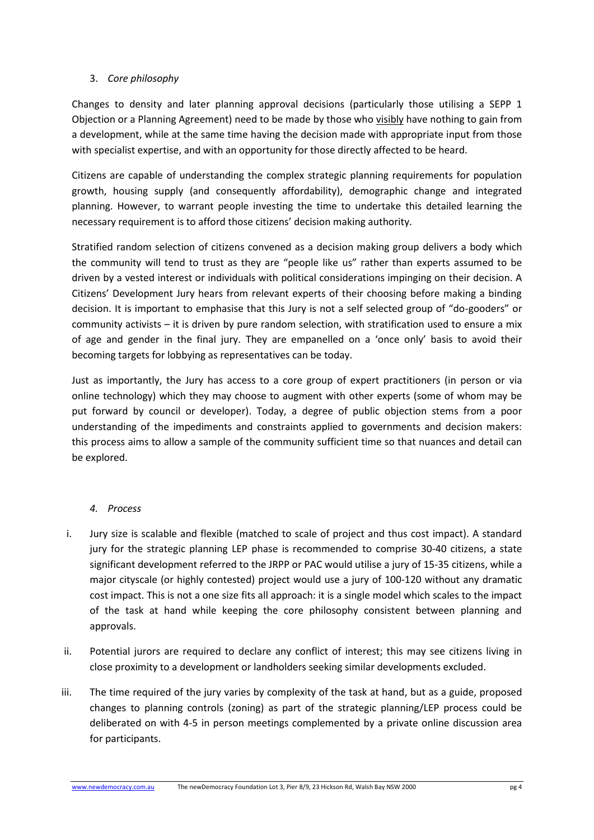#### 3. *Core philosophy*

Changes to density and later planning approval decisions (particularly those utilising a SEPP 1 Objection or a Planning Agreement) need to be made by those who visibly have nothing to gain from a development, while at the same time having the decision made with appropriate input from those with specialist expertise, and with an opportunity for those directly affected to be heard.

Citizens are capable of understanding the complex strategic planning requirements for population growth, housing supply (and consequently affordability), demographic change and integrated planning. However, to warrant people investing the time to undertake this detailed learning the necessary requirement is to afford those citizens' decision making authority.

Stratified random selection of citizens convened as a decision making group delivers a body which the community will tend to trust as they are "people like us" rather than experts assumed to be driven by a vested interest or individuals with political considerations impinging on their decision. A Citizens' Development Jury hears from relevant experts of their choosing before making a binding decision. It is important to emphasise that this Jury is not a self selected group of "do-gooders" or community activists – it is driven by pure random selection, with stratification used to ensure a mix of age and gender in the final jury. They are empanelled on a 'once only' basis to avoid their becoming targets for lobbying as representatives can be today.

Just as importantly, the Jury has access to a core group of expert practitioners (in person or via online technology) which they may choose to augment with other experts (some of whom may be put forward by council or developer). Today, a degree of public objection stems from a poor understanding of the impediments and constraints applied to governments and decision makers: this process aims to allow a sample of the community sufficient time so that nuances and detail can be explored.

# *4. Process*

- i. Jury size is scalable and flexible (matched to scale of project and thus cost impact). A standard jury for the strategic planning LEP phase is recommended to comprise 30-40 citizens, a state significant development referred to the JRPP or PAC would utilise a jury of 15-35 citizens, while a major cityscale (or highly contested) project would use a jury of 100-120 without any dramatic cost impact. This is not a one size fits all approach: it is a single model which scales to the impact of the task at hand while keeping the core philosophy consistent between planning and approvals.
- ii. Potential jurors are required to declare any conflict of interest; this may see citizens living in close proximity to a development or landholders seeking similar developments excluded.
- iii. The time required of the jury varies by complexity of the task at hand, but as a guide, proposed changes to planning controls (zoning) as part of the strategic planning/LEP process could be deliberated on with 4-5 in person meetings complemented by a private online discussion area for participants.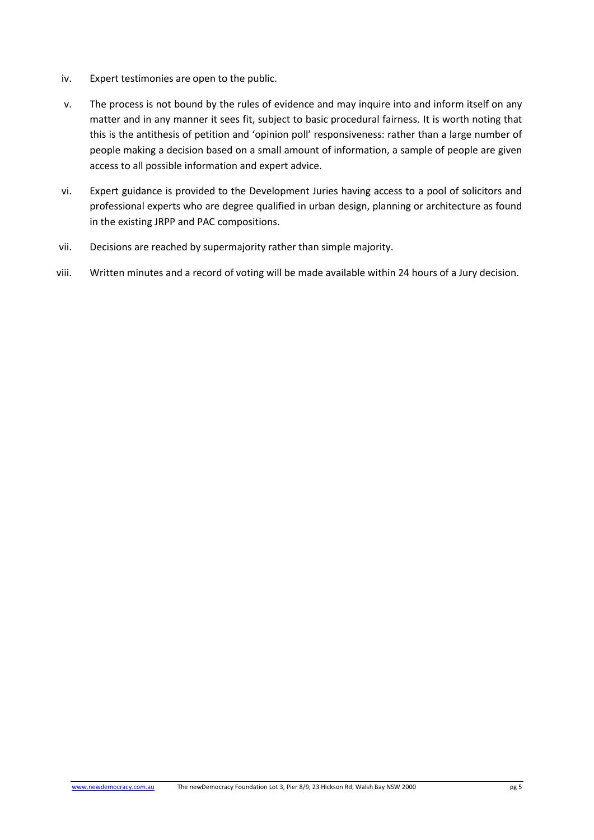- iv. Expert testimonies are open to the public.
- v. The process is not bound by the rules of evidence and may inquire into and inform itself on any matter and in any manner it sees fit, subject to basic procedural fairness. It is worth noting that this is the antithesis of petition and 'opinion poll' responsiveness: rather than a large number of people making a decision based on a small amount of information, a sample of people are given access to all possible information and expert advice.
- vi. Expert guidance is provided to the Development Juries having access to a pool of solicitors and professional experts who are degree qualified in urban design, planning or architecture as found in the existing JRPP and PAC compositions.
- vii. Decisions are reached by supermajority rather than simple majority.
- viii. Written minutes and a record of voting will be made available within 24 hours of a Jury decision.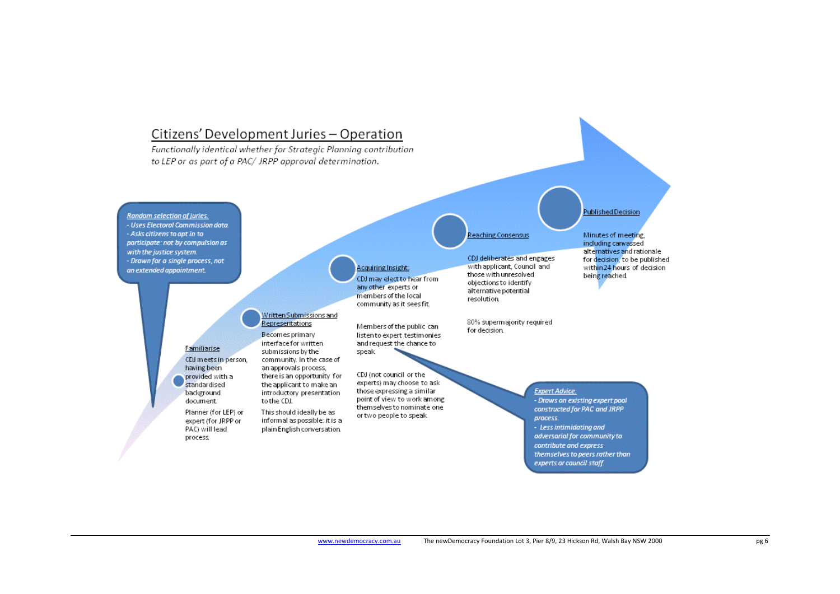# Citizens' Development Juries - Operation

Functionally identical whether for Strategic Planning contribution to LEP or as part of a PAC/ JRPP approval determination.

Written Submissions and

community. In the case of

there is an opportunity for

the applicant to make an

introductory presentation

This should ideally be as

informal as possible: it is a

plain English conversation.

Representations

Becomes primary

interface for written

an approvals process,

to the CDJ.

submissions by the

**Random selection of juries.** - Uses Electoral Commission data. - Asks citizens to opt in to participate: not by compulsion as with the justice system. - Drawn for a single process, not an extended appointment.

Familiarise

having been

provided with a

Planner (for LEP) or

expert (for JRPP or

PAC) will lead

process.

standardised

background

document.

CDJ meets in person.

**Acquiring Insight:** 

CDJ may elect to hear from any other experts or members of the local community as it sees fit.

Members of the public can listento expert testimonies and request the chance to

speak CDJ (not council or the experts) may choose to ask those expressing a similar point of view to work among themselves to nominate one or two people to speak

# Reaching Consensus

CDJ deliberates and engages with applicant, Council and those with unresolved objections to identify alternative potential resolution

80% supermajority required

for decision.

Minutes of meeting. including canvassed alternatives and rationale for decision, to be published within 24 hours of decision being reached

**Published Decision** 

**Expert Advice.** 

- Draws on existing expert pool constructed for PAC and JRPP process. - Less intimidating and adversarial for community to contribute and express themselves to peers rather than experts or council staff.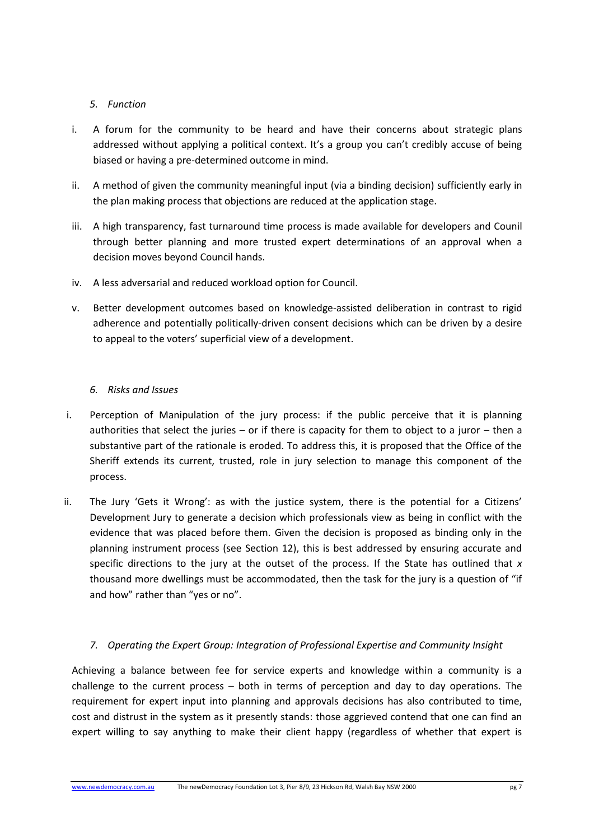#### *5. Function*

- i. A forum for the community to be heard and have their concerns about strategic plans addressed without applying a political context. It's a group you can't credibly accuse of being biased or having a pre-determined outcome in mind.
- ii. A method of given the community meaningful input (via a binding decision) sufficiently early in the plan making process that objections are reduced at the application stage.
- iii. A high transparency, fast turnaround time process is made available for developers and Counil through better planning and more trusted expert determinations of an approval when a decision moves beyond Council hands.
- iv. A less adversarial and reduced workload option for Council.
- v. Better development outcomes based on knowledge-assisted deliberation in contrast to rigid adherence and potentially politically-driven consent decisions which can be driven by a desire to appeal to the voters' superficial view of a development.

### *6. Risks and Issues*

- i. Perception of Manipulation of the jury process: if the public perceive that it is planning authorities that select the juries – or if there is capacity for them to object to a juror – then a substantive part of the rationale is eroded. To address this, it is proposed that the Office of the Sheriff extends its current, trusted, role in jury selection to manage this component of the process.
- ii. The Jury 'Gets it Wrong': as with the justice system, there is the potential for a Citizens' Development Jury to generate a decision which professionals view as being in conflict with the evidence that was placed before them. Given the decision is proposed as binding only in the planning instrument process (see Section 12), this is best addressed by ensuring accurate and specific directions to the jury at the outset of the process. If the State has outlined that *x* thousand more dwellings must be accommodated, then the task for the jury is a question of "if and how" rather than "yes or no".

# *7. Operating the Expert Group: Integration of Professional Expertise and Community Insight*

Achieving a balance between fee for service experts and knowledge within a community is a challenge to the current process – both in terms of perception and day to day operations. The requirement for expert input into planning and approvals decisions has also contributed to time, cost and distrust in the system as it presently stands: those aggrieved contend that one can find an expert willing to say anything to make their client happy (regardless of whether that expert is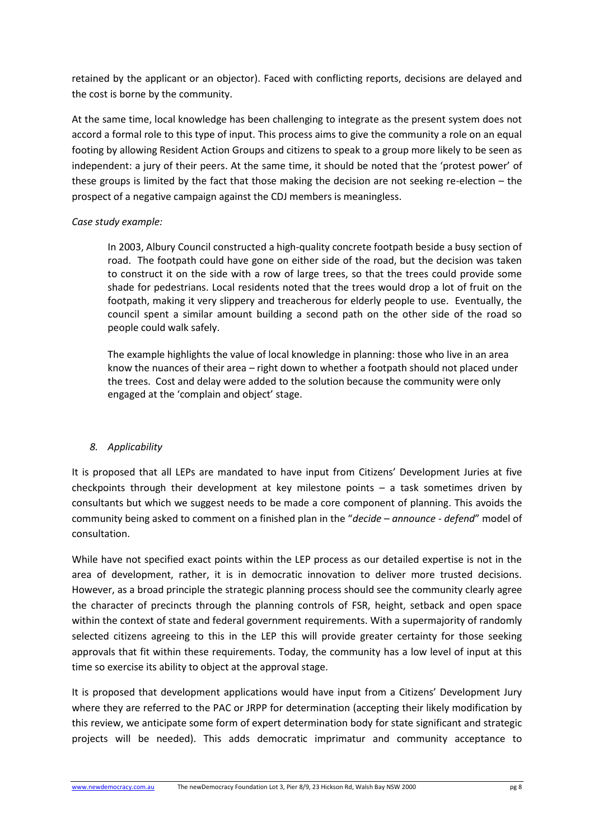retained by the applicant or an objector). Faced with conflicting reports, decisions are delayed and the cost is borne by the community.

At the same time, local knowledge has been challenging to integrate as the present system does not accord a formal role to this type of input. This process aims to give the community a role on an equal footing by allowing Resident Action Groups and citizens to speak to a group more likely to be seen as independent: a jury of their peers. At the same time, it should be noted that the 'protest power' of these groups is limited by the fact that those making the decision are not seeking re-election – the prospect of a negative campaign against the CDJ members is meaningless.

#### *Case study example:*

In 2003, Albury Council constructed a high-quality concrete footpath beside a busy section of road. The footpath could have gone on either side of the road, but the decision was taken to construct it on the side with a row of large trees, so that the trees could provide some shade for pedestrians. Local residents noted that the trees would drop a lot of fruit on the footpath, making it very slippery and treacherous for elderly people to use. Eventually, the council spent a similar amount building a second path on the other side of the road so people could walk safely.

The example highlights the value of local knowledge in planning: those who live in an area know the nuances of their area – right down to whether a footpath should not placed under the trees. Cost and delay were added to the solution because the community were only engaged at the 'complain and object' stage.

#### *8. Applicability*

It is proposed that all LEPs are mandated to have input from Citizens' Development Juries at five checkpoints through their development at key milestone points – a task sometimes driven by consultants but which we suggest needs to be made a core component of planning. This avoids the community being asked to comment on a finished plan in the "*decide – announce - defend*" model of consultation.

While have not specified exact points within the LEP process as our detailed expertise is not in the area of development, rather, it is in democratic innovation to deliver more trusted decisions. However, as a broad principle the strategic planning process should see the community clearly agree the character of precincts through the planning controls of FSR, height, setback and open space within the context of state and federal government requirements. With a supermajority of randomly selected citizens agreeing to this in the LEP this will provide greater certainty for those seeking approvals that fit within these requirements. Today, the community has a low level of input at this time so exercise its ability to object at the approval stage.

It is proposed that development applications would have input from a Citizens' Development Jury where they are referred to the PAC or JRPP for determination (accepting their likely modification by this review, we anticipate some form of expert determination body for state significant and strategic projects will be needed). This adds democratic imprimatur and community acceptance to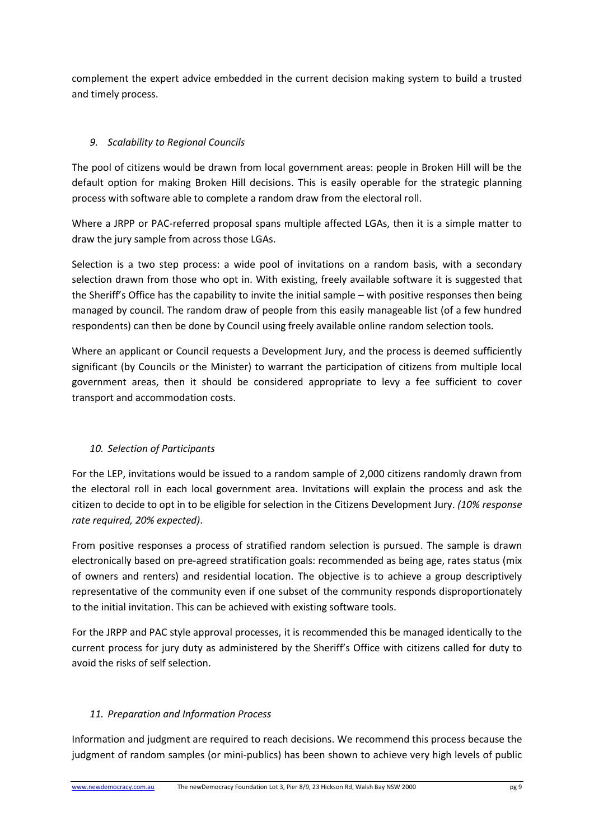complement the expert advice embedded in the current decision making system to build a trusted and timely process.

# *9. Scalability to Regional Councils*

The pool of citizens would be drawn from local government areas: people in Broken Hill will be the default option for making Broken Hill decisions. This is easily operable for the strategic planning process with software able to complete a random draw from the electoral roll.

Where a JRPP or PAC-referred proposal spans multiple affected LGAs, then it is a simple matter to draw the jury sample from across those LGAs.

Selection is a two step process: a wide pool of invitations on a random basis, with a secondary selection drawn from those who opt in. With existing, freely available software it is suggested that the Sheriff's Office has the capability to invite the initial sample – with positive responses then being managed by council. The random draw of people from this easily manageable list (of a few hundred respondents) can then be done by Council using freely available online random selection tools.

Where an applicant or Council requests a Development Jury, and the process is deemed sufficiently significant (by Councils or the Minister) to warrant the participation of citizens from multiple local government areas, then it should be considered appropriate to levy a fee sufficient to cover transport and accommodation costs.

# *10. Selection of Participants*

For the LEP, invitations would be issued to a random sample of 2,000 citizens randomly drawn from the electoral roll in each local government area. Invitations will explain the process and ask the citizen to decide to opt in to be eligible for selection in the Citizens Development Jury. *(10% response rate required, 20% expected)*.

From positive responses a process of stratified random selection is pursued. The sample is drawn electronically based on pre-agreed stratification goals: recommended as being age, rates status (mix of owners and renters) and residential location. The objective is to achieve a group descriptively representative of the community even if one subset of the community responds disproportionately to the initial invitation. This can be achieved with existing software tools.

For the JRPP and PAC style approval processes, it is recommended this be managed identically to the current process for jury duty as administered by the Sheriff's Office with citizens called for duty to avoid the risks of self selection.

#### *11. Preparation and Information Process*

Information and judgment are required to reach decisions. We recommend this process because the judgment of random samples (or mini-publics) has been shown to achieve very high levels of public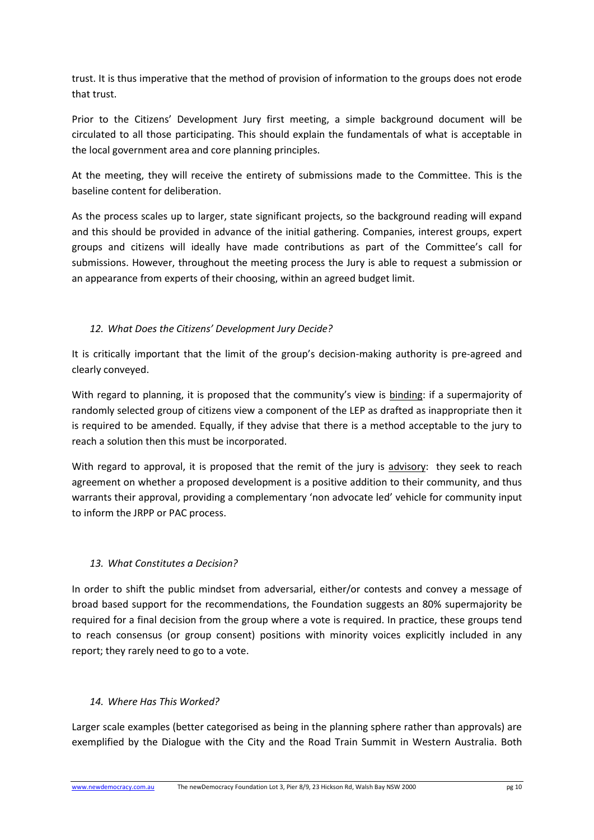trust. It is thus imperative that the method of provision of information to the groups does not erode that trust.

Prior to the Citizens' Development Jury first meeting, a simple background document will be circulated to all those participating. This should explain the fundamentals of what is acceptable in the local government area and core planning principles.

At the meeting, they will receive the entirety of submissions made to the Committee. This is the baseline content for deliberation.

As the process scales up to larger, state significant projects, so the background reading will expand and this should be provided in advance of the initial gathering. Companies, interest groups, expert groups and citizens will ideally have made contributions as part of the Committee's call for submissions. However, throughout the meeting process the Jury is able to request a submission or an appearance from experts of their choosing, within an agreed budget limit.

# *12. What Does the Citizens' Development Jury Decide?*

It is critically important that the limit of the group's decision-making authority is pre-agreed and clearly conveyed.

With regard to planning, it is proposed that the community's view is binding: if a supermajority of randomly selected group of citizens view a component of the LEP as drafted as inappropriate then it is required to be amended. Equally, if they advise that there is a method acceptable to the jury to reach a solution then this must be incorporated.

With regard to approval, it is proposed that the remit of the jury is advisory: they seek to reach agreement on whether a proposed development is a positive addition to their community, and thus warrants their approval, providing a complementary 'non advocate led' vehicle for community input to inform the JRPP or PAC process.

#### *13. What Constitutes a Decision?*

In order to shift the public mindset from adversarial, either/or contests and convey a message of broad based support for the recommendations, the Foundation suggests an 80% supermajority be required for a final decision from the group where a vote is required. In practice, these groups tend to reach consensus (or group consent) positions with minority voices explicitly included in any report; they rarely need to go to a vote.

#### *14. Where Has This Worked?*

Larger scale examples (better categorised as being in the planning sphere rather than approvals) are exemplified by the Dialogue with the City and the Road Train Summit in Western Australia. Both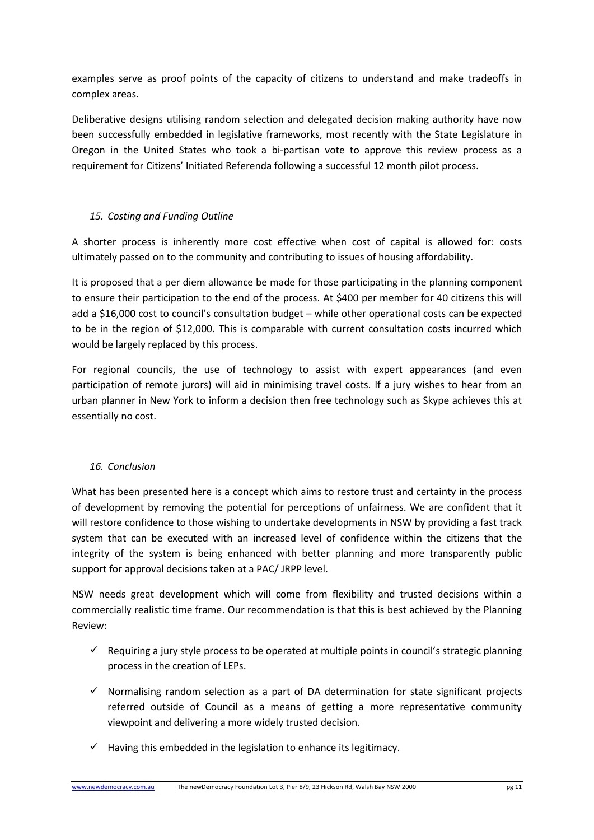examples serve as proof points of the capacity of citizens to understand and make tradeoffs in complex areas.

Deliberative designs utilising random selection and delegated decision making authority have now been successfully embedded in legislative frameworks, most recently with the State Legislature in Oregon in the United States who took a bi-partisan vote to approve this review process as a requirement for Citizens' Initiated Referenda following a successful 12 month pilot process.

### *15. Costing and Funding Outline*

A shorter process is inherently more cost effective when cost of capital is allowed for: costs ultimately passed on to the community and contributing to issues of housing affordability.

It is proposed that a per diem allowance be made for those participating in the planning component to ensure their participation to the end of the process. At \$400 per member for 40 citizens this will add a \$16,000 cost to council's consultation budget – while other operational costs can be expected to be in the region of \$12,000. This is comparable with current consultation costs incurred which would be largely replaced by this process.

For regional councils, the use of technology to assist with expert appearances (and even participation of remote jurors) will aid in minimising travel costs. If a jury wishes to hear from an urban planner in New York to inform a decision then free technology such as Skype achieves this at essentially no cost.

#### *16. Conclusion*

What has been presented here is a concept which aims to restore trust and certainty in the process of development by removing the potential for perceptions of unfairness. We are confident that it will restore confidence to those wishing to undertake developments in NSW by providing a fast track system that can be executed with an increased level of confidence within the citizens that the integrity of the system is being enhanced with better planning and more transparently public support for approval decisions taken at a PAC/ JRPP level.

NSW needs great development which will come from flexibility and trusted decisions within a commercially realistic time frame. Our recommendation is that this is best achieved by the Planning Review:

- $\checkmark$  Requiring a jury style process to be operated at multiple points in council's strategic planning process in the creation of LEPs.
- $\checkmark$  Normalising random selection as a part of DA determination for state significant projects referred outside of Council as a means of getting a more representative community viewpoint and delivering a more widely trusted decision.
- $\checkmark$  Having this embedded in the legislation to enhance its legitimacy.